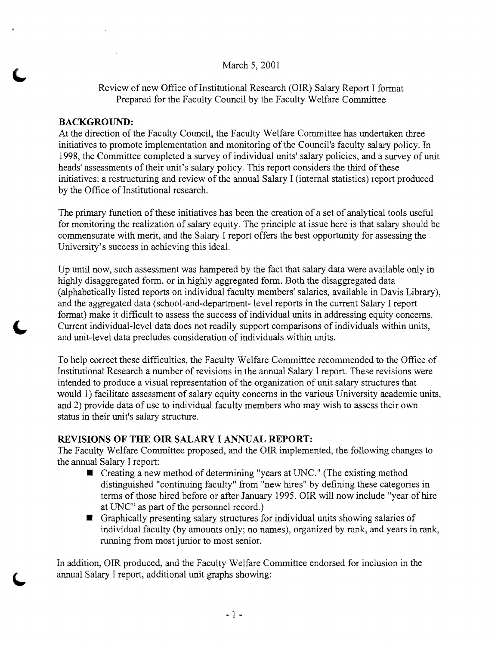#### March 5, 2001

#### Review of new Office of Institutional Research (OIR) Salary Report I format Prepared for the Faculty Council by the Faculty Welfare Committee

#### **BACKGROUND:**

At the direction of the Faculty Council, the Faculty Welfare Committee has undertaken three initiatives to promote implementation and monitoring of the Council's faculty salary policy. In 1998, the Committee completed a survey of individual units' salary policies, and a survey of unit heads' assessments of their unit's salary policy. This report considers the third of these initiatives: a restructuring and review of the annual Salary I (internal statistics) report produced by the Office of Institutional research.

The primary function of these initiatives has been the creation of a set of analytical tools useful for monitoring the realization of salary equity. The principle at issue here is that salary should be commensurate with merit, and the Salary I report offers the best opportunity for assessing the University's success in achieving this ideal.

Up until now, such assessment was hampered by the fact that salary data were available only in highly disaggregated form, or in highly aggregated form. Both the disaggregated data (alphabetically listed reports on individual faculty members' salaries, available in Davis Library), and the aggregated data (school-and-department- level reports in the current Salary I report format) make it difficult to assess the success of individual units in addressing equity concerns. Current individual-level data does not readily support comparisons of individuals within units, and unit-level data precludes consideration of individuals within units.

To help correct these difficulties, the Faculty Welfare Committee recommended to the Office of Institutional Research. a number of revisions in the annual Salary I report. These revisions were intended to produce a visual representation of the organization of unit salary structures that would 1) facilitate assessment of salary equity concerns in the various University academic units, and 2) provide data of use to individual faculty members who may wish to assess their own status in their unit's salary structure.

#### **REVISIONS OF THE OIR SALARY I ANNUAL REPORT:**

The Faculty Welfare Committee proposed, and the OIR implemented, the following changes to the annual Salary I report:

- $\blacksquare$  Creating a new method of determining "years at UNC." (The existing method distinguished "continuing faculty" from "new hires" by defining these categories in terms of those hired before or after January 1995. OIR will now include "year of hire at UNC" as part of the personnel record.)
- $\blacksquare$  Graphically presenting salary structures for individual units showing salaries of individual faculty (by amounts only; no names), organized by rank, and years in rank, running from most junior to most senior.

In addition, OIR produced, and the Faculty Welfare Committee endorsed for inclusion in the annual Salary I report, additional unit graphs showing: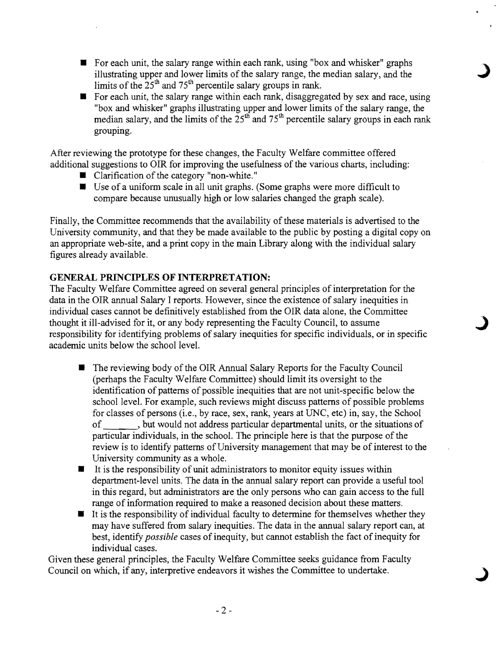- For each unit, the salary range within each rank, using "box and whisker" graphs illustrating upper and lower limits of the salary range, the median salary, and the limits of the  $25<sup>th</sup>$  and  $75<sup>th</sup>$  percentile salary groups in rank.
- For each unit, the salary range within each rank, disaggregated by sex and race, using "box and whisker" graphs illustrating upper and lower limits of the salary range, the median salary, and the limits of the  $25<sup>th</sup>$  and  $75<sup>th</sup>$  percentile salary groups in each rank grouping.

After reviewing the prototype for these changes, the Faculty Welfare committee offered additional suggestions to OIR for improving the usefulness of the various charts, including:

- Clarification of the category "non-white."
- **Use of a uniform scale in all unit graphs. (Some graphs were more difficult to** compare because unusually high or low salaries changed the graph scale).

Finally, the Committee recommends that the availability of these materials is advertised to the University community, and that they be made available to the public by posting a digital copy on an appropriate web-site, and a print copy in the main Library along with the individual salary figures already available.

#### **GENERAL PRINCIPLES OF INTERPRETATION:**

The Faculty Welfare Committee agreed on several general principles of interpretation for the data in the OIR annual Salary I reports. However, since the existence of salary inequities in individual cases cannot be definitively established from the OIR data alone, the Committee thought it ill-advised for it, or any body representing the Faculty Council, to assume responsibility for identifying problems of salary inequities for specific individuals, or in specific academic units below the school level.

- The reviewing body of the OIR Annual Salary Reports for the Faculty Council (perhaps the Faculty Welfare Committee) should limit its oversight to the identification of patterns of possible inequities that are not unit-specific below the school leveL For example, such reviews might discuss patterns of possible problems for classes of persons (i.e., by race, sex, rank, years at UNC, etc) in, say, the School of , but would not address particular departmental units, or the situations of particular individuals, in the school. The principle here is that the purpose of the review is to identify patterns of University management that may be of interest to the University community as a whole.
- $\blacksquare$  It is the responsibility of unit administrators to monitor equity issues within department-level units. The data in the annual salary report can provide a useful tool in this regard, but administrators are the only persons who can gain access to the full range of information required to make a reasoned decision about these matters.
- $\blacksquare$  It is the responsibility of individual faculty to determine for themselves whether they may have suffered from salary inequities. The data in the annual salary report can, at best, identify *possible* cases of inequity, but cannot establish the fact of inequity for individual cases.

Given these general principles, the Faculty Welfare Committee seeks guidance from Faculty Council on which, if any, interpretive endeavors it wishes the Committee to undertake.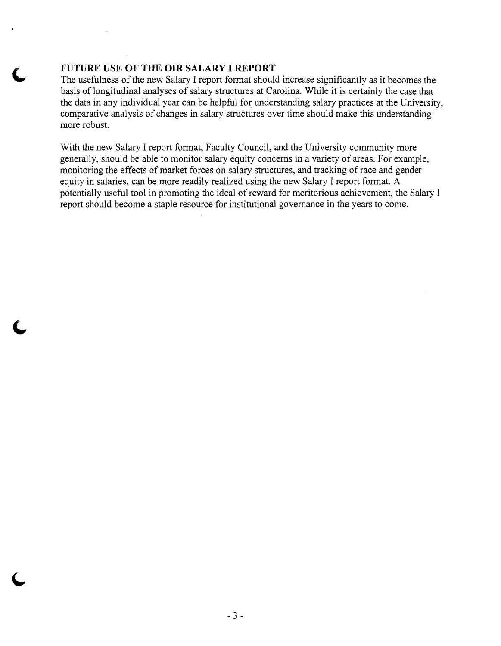#### **FUTURE USE OF THE OIR SALARY I REPORT**

The usefulness of the new Salary I report format should increase significantly as it becomes the basis of longitudinal analyses of salary structures at Carolina. While it is certainly the case that the data in any individual year can be helpful for understanding salary practices at the University, comparative analysis of changes in salary structures over time should make this understanding more robust.

With the new Salary I report format, Faculty Council, and the University community more generally, should be able to monitor salary equity concerns in a variety of areas. For example, monitoring the effects of market forces on salary structures, and tracking of race and gender equity in salaries, can be more readily realized using the new Salary I report format. A potentially useful tool in promoting the ideal of reward for meritorious achievement, the Salary I report should become a staple resource for institutional governance in the years to come.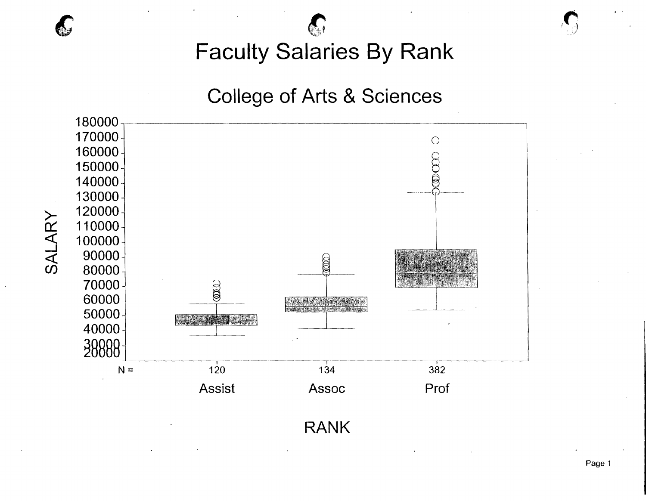# **College of Arts & Sciences**

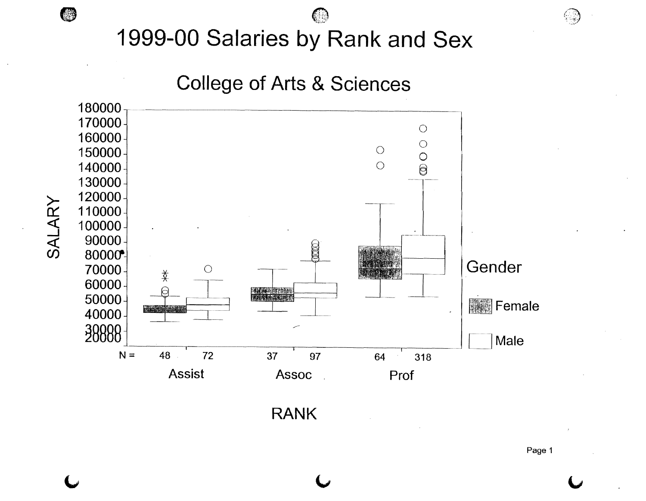(#

**College of Arts & Sciences** 



**RANK** 

Page 1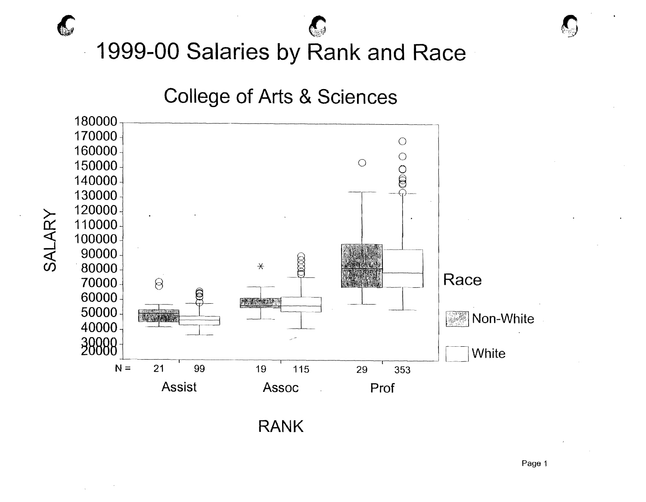

**RANK** 

Page 1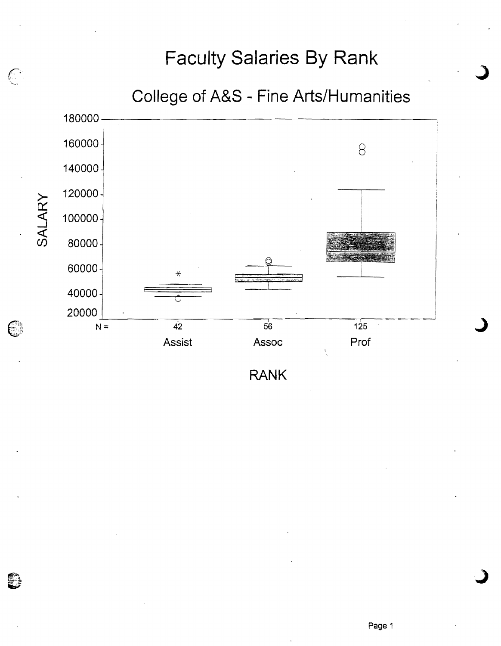

 $\mathbb{C}$ 

C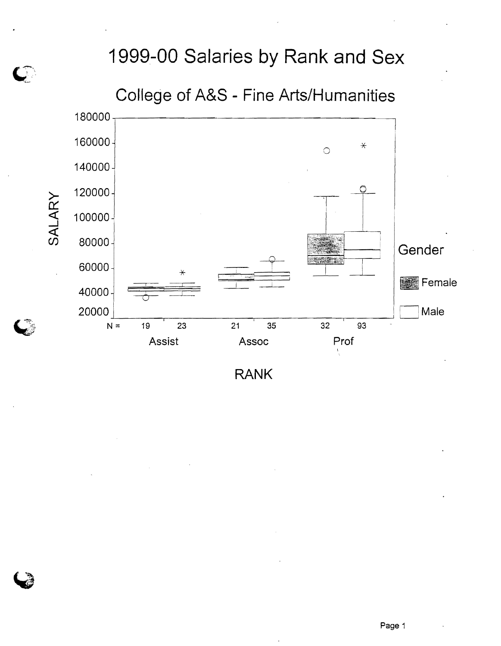College of A&S - Fine Arts/Humanities

 $\mathbf{C}$ 

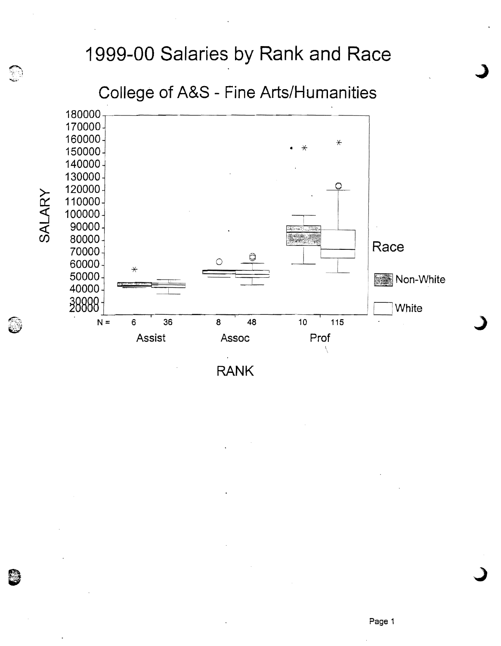### College of A&S - Fine Arts/Humanities

**SAN** 

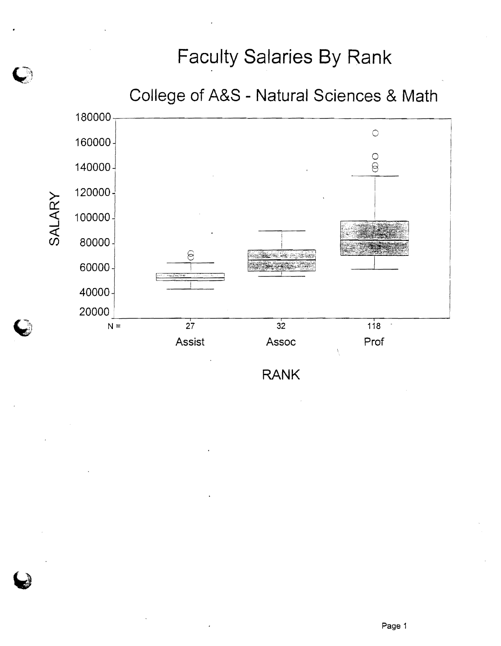

D

**RANK** 

Page 1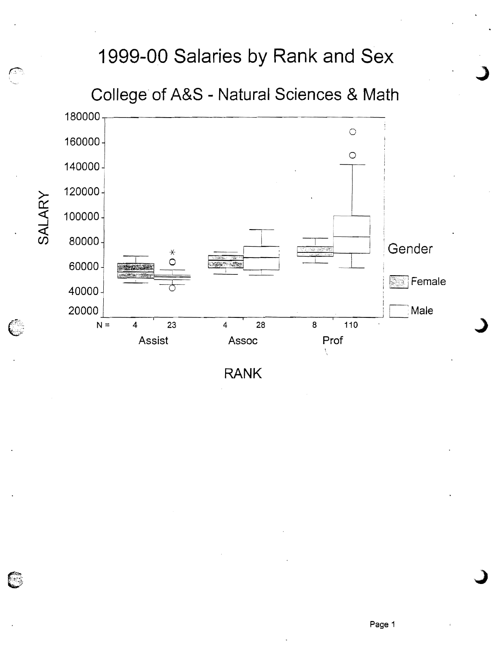

**RANK** 

િ

E.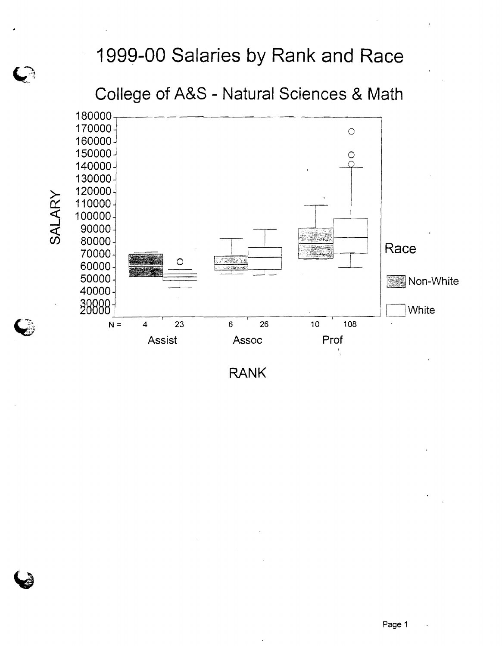**College of A&S - Natural Sciences & Math** 

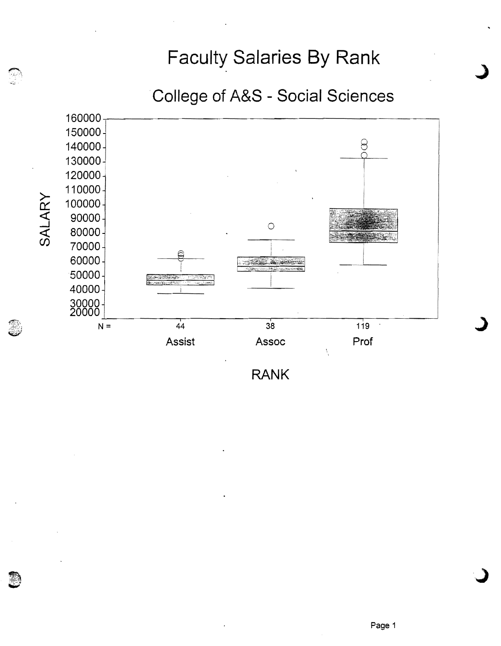.**College of A&S - Social Sciences** 

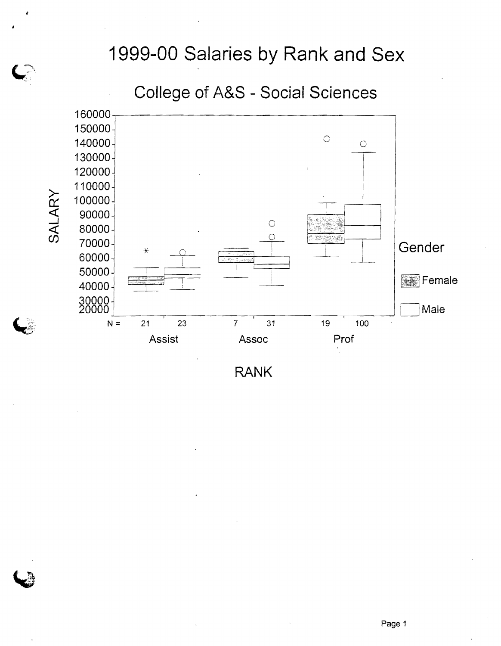#### College of A&S - Social Sciences